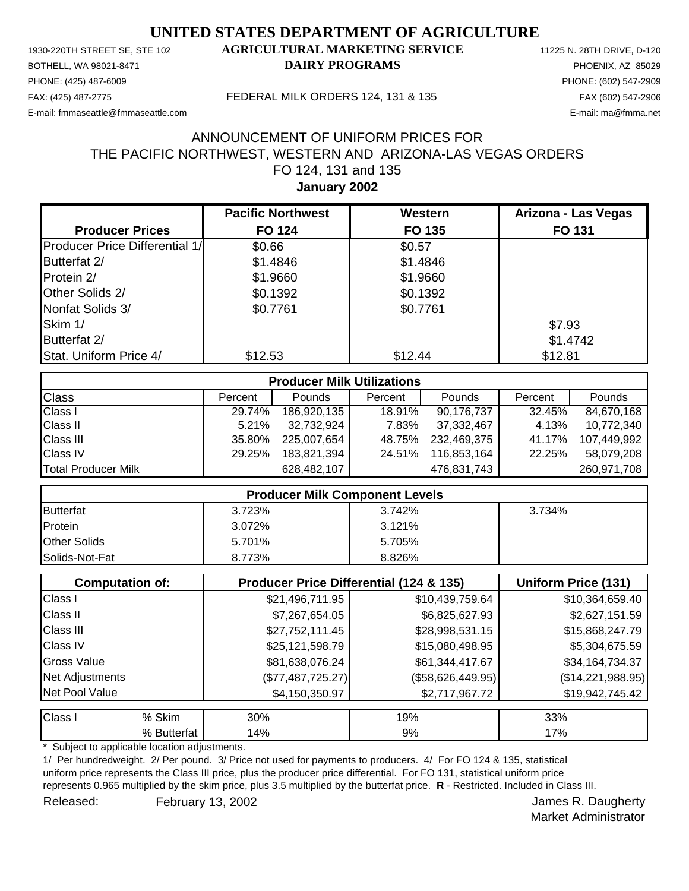PHONE: (425) 487-6009 PHONE: (602) 547-2909 E-mail: fmmaseattle@fmmaseattle.com E-mail: ma@fmma.net

## 1930-220TH STREET SE, STE 102 **AGRICULTURAL MARKETING SERVICE** 11225 N. 28TH DRIVE, D-120 BOTHELL, WA 98021-8471 **DAIRY PROGRAMS** PHOENIX, AZ 85029

#### FAX: (425) 487-2775 FEDERAL MILK ORDERS 124, 131 & 135 FAX (602) 547-2906

# **January 2002** FO 124, 131 and 135 THE PACIFIC NORTHWEST, WESTERN AND ARIZONA-LAS VEGAS ORDERS ANNOUNCEMENT OF UNIFORM PRICES FOR

|                                       | <b>Pacific Northwest</b> | Western  | Arizona - Las Vegas |
|---------------------------------------|--------------------------|----------|---------------------|
| <b>Producer Prices</b>                | <b>FO 124</b>            | FO 135   | <b>FO 131</b>       |
| <b>Producer Price Differential 1/</b> | \$0.66                   | \$0.57   |                     |
| Butterfat 2/                          | \$1.4846                 | \$1.4846 |                     |
| Protein 2/                            | \$1.9660                 | \$1.9660 |                     |
| Other Solids 2/                       | \$0.1392                 | \$0.1392 |                     |
| Nonfat Solids 3/                      | \$0.7761                 | \$0.7761 |                     |
| Skim 1/                               |                          |          | \$7.93              |
| Butterfat 2/                          |                          |          | \$1.4742            |
| Stat. Uniform Price 4/                | \$12.53                  | \$12.44  | \$12.81             |

| <b>Producer Milk Utilizations</b> |         |               |         |             |         |               |
|-----------------------------------|---------|---------------|---------|-------------|---------|---------------|
| <b>Class</b>                      | Percent | <b>Pounds</b> | Percent | Pounds      | Percent | <b>Pounds</b> |
| <b>Class I</b>                    | 29.74%  | 186,920,135   | 18.91%  | 90,176,737  | 32.45%  | 84,670,168    |
| <b>Class II</b>                   | 5.21%   | 32,732,924    | 7.83%   | 37,332,467  | 4.13%   | 10,772,340    |
| <b>Class III</b>                  | 35.80%  | 225.007.654   | 48.75%  | 232,469,375 | 41.17%  | 107,449,992   |
| <b>Class IV</b>                   | 29.25%  | 183,821,394   | 24.51%  | 116,853,164 | 22.25%  | 58,079,208    |
| Total Producer Milk               |         | 628,482,107   |         | 476,831,743 |         | 260,971,708   |

| <b>Producer Milk Component Levels</b> |        |        |        |  |
|---------------------------------------|--------|--------|--------|--|
| <b>Butterfat</b>                      | 3.723% | 3.742% | 3.734% |  |
| Protein                               | 3.072% | 3.121% |        |  |
| <b>Other Solids</b>                   | 5.701% | 5.705% |        |  |
| Solids-Not-Fat                        | 8.773% | 8.826% |        |  |

|                    | <b>Computation of:</b> | Producer Price Differential (124 & 135) | Uniform Price (131) |                   |
|--------------------|------------------------|-----------------------------------------|---------------------|-------------------|
| Class I            |                        | \$21,496,711.95                         | \$10,439,759.64     | \$10,364,659.40   |
| <b>Class II</b>    |                        | \$7,267,654.05                          | \$6,825,627.93      | \$2,627,151.59    |
| <b>Class III</b>   |                        | \$27,752,111.45                         | \$28,998,531.15     | \$15,868,247.79   |
| <b>Class IV</b>    |                        | \$25,121,598.79                         | \$15,080,498.95     | \$5,304,675.59    |
| <b>Gross Value</b> |                        | \$81,638,076.24                         | \$61,344,417.67     | \$34,164,734.37   |
| Net Adjustments    |                        | (\$77,487,725.27)                       | $(\$58,626,449.95)$ | (\$14,221,988.95) |
| Net Pool Value     |                        | \$4,150,350.97                          | \$2,717,967.72      | \$19,942,745.42   |
| <b>Class I</b>     | % Skim                 | 30%                                     | 19%                 | 33%               |
|                    | % Butterfat            | 14%                                     | 9%                  | 17%               |

Subject to applicable location adjustments.

1/ Per hundredweight. 2/ Per pound. 3/ Price not used for payments to producers. 4/ For FO 124 & 135, statistical uniform price represents the Class III price, plus the producer price differential. For FO 131, statistical uniform price represents 0.965 multiplied by the skim price, plus 3.5 multiplied by the butterfat price. **R** - Restricted. Included in Class III. Released: February 13, 2002 Contract Contract Contract Contract Contract Contract Contract Contract Contract Contract Contract Contract Contract Contract Contract Contract Contract Contract Contract Contract Contract Contr

Market Administrator

February 13, 2002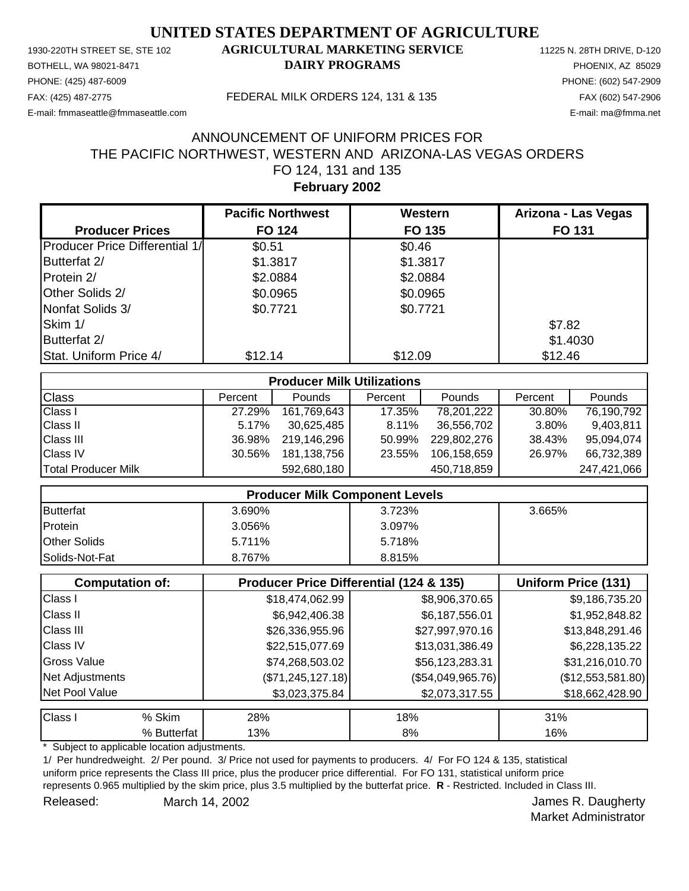PHONE: (425) 487-6009 PHONE: (602) 547-2909 E-mail: fmmaseattle@fmmaseattle.com E-mail: ma@fmma.net

## 1930-220TH STREET SE, STE 102 **AGRICULTURAL MARKETING SERVICE** 11225 N. 28TH DRIVE, D-120 BOTHELL, WA 98021-8471 **DAIRY PROGRAMS** PHOENIX, AZ 85029

#### FAX: (425) 487-2775 FEDERAL MILK ORDERS 124, 131 & 135 FAX (602) 547-2906

# **February 2002** FO 124, 131 and 135 THE PACIFIC NORTHWEST, WESTERN AND ARIZONA-LAS VEGAS ORDERS ANNOUNCEMENT OF UNIFORM PRICES FOR

|                                       | <b>Pacific Northwest</b> | Western  | Arizona - Las Vegas |
|---------------------------------------|--------------------------|----------|---------------------|
| <b>Producer Prices</b>                | <b>FO 124</b>            | FO 135   | <b>FO 131</b>       |
| <b>Producer Price Differential 1/</b> | \$0.51                   | \$0.46   |                     |
| Butterfat 2/                          | \$1.3817                 | \$1.3817 |                     |
| Protein 2/                            | \$2.0884                 | \$2.0884 |                     |
| Other Solids 2/                       | \$0.0965                 | \$0.0965 |                     |
| Nonfat Solids 3/                      | \$0.7721                 | \$0.7721 |                     |
| Skim 1/                               |                          |          | \$7.82              |
| Butterfat 2/                          |                          |          | \$1.4030            |
| Stat. Uniform Price 4/                | \$12.14                  | \$12.09  | \$12.46             |

| <b>Producer Milk Utilizations</b> |         |               |         |               |         |             |
|-----------------------------------|---------|---------------|---------|---------------|---------|-------------|
| <b>Class</b>                      | Percent | <b>Pounds</b> | Percent | <b>Pounds</b> | Percent | Pounds      |
| <b>Class I</b>                    | 27.29%  | 161,769,643   | 17.35%  | 78,201,222    | 30.80%  | 76,190,792  |
| <b>Class II</b>                   | 5.17%   | 30.625.485    | 8.11%   | 36,556,702    | 3.80%   | 9,403,811   |
| <b>Class III</b>                  | 36.98%  | 219.146.296   | 50.99%  | 229.802.276   | 38.43%  | 95,094,074  |
| <b>Class IV</b>                   | 30.56%  | 181,138,756   | 23.55%  | 106,158,659   | 26.97%  | 66,732,389  |
| Total Producer Milk               |         | 592,680,180   |         | 450,718,859   |         | 247,421,066 |

| <b>Producer Milk Component Levels</b> |        |        |        |  |
|---------------------------------------|--------|--------|--------|--|
| <b>Butterfat</b>                      | 3.690% | 3.723% | 3.665% |  |
| Protein                               | 3.056% | 3.097% |        |  |
| <b>Other Solids</b>                   | 5.711% | 5.718% |        |  |
| Solids-Not-Fat                        | 8.767% | 8.815% |        |  |

|                    | <b>Computation of:</b> | <b>Producer Price Differential (124 &amp; 135)</b> |                   | Uniform Price (131) |
|--------------------|------------------------|----------------------------------------------------|-------------------|---------------------|
| Class I            |                        | \$18,474,062.99                                    | \$8,906,370.65    | \$9,186,735.20      |
| <b>Class II</b>    |                        | \$6,942,406.38                                     | \$6,187,556.01    | \$1,952,848.82      |
| <b>Class III</b>   |                        | \$26,336,955.96                                    | \$27,997,970.16   | \$13,848,291.46     |
| <b>Class IV</b>    |                        | \$22,515,077.69                                    | \$13,031,386.49   | \$6,228,135.22      |
| <b>Gross Value</b> |                        | \$74,268,503.02                                    | \$56,123,283.31   | \$31,216,010.70     |
| Net Adjustments    |                        | (\$71, 245, 127.18)                                | (\$54,049,965.76) | (\$12,553,581.80)   |
| Net Pool Value     |                        | \$3,023,375.84                                     | \$2,073,317.55    | \$18,662,428.90     |
| Class I            | % Skim                 | 28%                                                | 18%               | 31%                 |
|                    | % Butterfat            | 13%                                                | 8%                | 16%                 |

Subject to applicable location adjustments.

1/ Per hundredweight. 2/ Per pound. 3/ Price not used for payments to producers. 4/ For FO 124 & 135, statistical uniform price represents the Class III price, plus the producer price differential. For FO 131, statistical uniform price represents 0.965 multiplied by the skim price, plus 3.5 multiplied by the butterfat price. **R** - Restricted. Included in Class III. Released: March 14, 2002 **Accord Participate 19 and 2007** James R. Daugherty

Market Administrator

March 14, 2002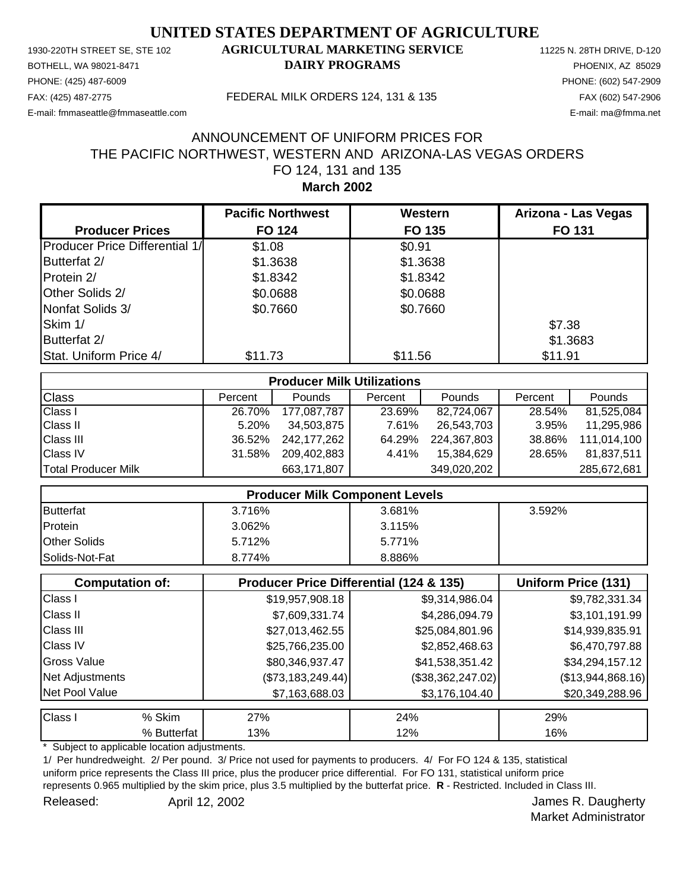PHONE: (425) 487-6009 PHONE: (602) 547-2909 E-mail: fmmaseattle@fmmaseattle.com E-mail: ma@fmma.net

## 1930-220TH STREET SE, STE 102 **AGRICULTURAL MARKETING SERVICE** 11225 N. 28TH DRIVE, D-120 BOTHELL, WA 98021-8471 **DAIRY PROGRAMS** PHOENIX, AZ 85029

#### FAX: (425) 487-2775 FEDERAL MILK ORDERS 124, 131 & 135 FAX (602) 547-2906

## **March 2002** FO 124, 131 and 135 THE PACIFIC NORTHWEST, WESTERN AND ARIZONA-LAS VEGAS ORDERS ANNOUNCEMENT OF UNIFORM PRICES FOR

|                                | <b>Pacific Northwest</b> | Western  | Arizona - Las Vegas |
|--------------------------------|--------------------------|----------|---------------------|
| <b>Producer Prices</b>         | <b>FO 124</b>            | FO 135   | <b>FO 131</b>       |
| Producer Price Differential 1/ | \$1.08                   | \$0.91   |                     |
| Butterfat 2/                   | \$1.3638                 | \$1.3638 |                     |
| Protein 2/                     | \$1.8342                 | \$1.8342 |                     |
| Other Solids 2/                | \$0.0688                 | \$0.0688 |                     |
| Nonfat Solids 3/               | \$0.7660                 | \$0.7660 |                     |
| Skim 1/                        |                          |          | \$7.38              |
| Butterfat 2/                   |                          |          | \$1.3683            |
| Stat. Uniform Price 4/         | \$11.73                  | \$11.56  | \$11.91             |

| <b>Producer Milk Utilizations</b> |         |             |         |             |         |               |
|-----------------------------------|---------|-------------|---------|-------------|---------|---------------|
| <b>Class</b>                      | Percent | Pounds      | Percent | Pounds      | Percent | <b>Pounds</b> |
| <b>Class I</b>                    | 26.70%  | 177,087,787 | 23.69%  | 82,724,067  | 28.54%  | 81,525,084    |
| <b>Class II</b>                   | 5.20%   | 34,503,875  | 7.61%   | 26,543,703  | 3.95%   | 11,295,986    |
| <b>Class III</b>                  | 36.52%  | 242,177,262 | 64.29%  | 224,367,803 | 38.86%  | 111,014,100   |
| <b>Class IV</b>                   | 31.58%  | 209,402,883 | 4.41%   | 15,384,629  | 28.65%  | 81,837,511    |
| Total Producer Milk               |         | 663,171,807 |         | 349,020,202 |         | 285,672,681   |

| <b>Producer Milk Component Levels</b> |        |        |        |  |
|---------------------------------------|--------|--------|--------|--|
| Butterfat                             | 3.716% | 3.681% | 3.592% |  |
| Protein                               | 3.062% | 3.115% |        |  |
| <b>Other Solids</b>                   | 5.712% | 5.771% |        |  |
| Solids-Not-Fat                        | 8.774% | 8.886% |        |  |

|                  | <b>Computation of:</b> | <b>Producer Price Differential (124 &amp; 135)</b> |                   | <b>Uniform Price (131)</b> |
|------------------|------------------------|----------------------------------------------------|-------------------|----------------------------|
| Class I          |                        | \$19,957,908.18                                    | \$9,314,986.04    | \$9,782,331.34             |
| <b>Class II</b>  |                        | \$7,609,331.74                                     | \$4,286,094.79    | \$3,101,191.99             |
| <b>Class III</b> |                        | \$27,013,462.55                                    | \$25,084,801.96   | \$14,939,835.91            |
| <b>Class IV</b>  |                        | \$25,766,235.00                                    | \$2,852,468.63    | \$6,470,797.88             |
| Gross Value      |                        | \$80,346,937.47                                    | \$41,538,351.42   | \$34,294,157.12            |
| Net Adjustments  |                        | (\$73,183,249.44)                                  | (\$38,362,247.02) | (\$13,944,868.16)          |
| Net Pool Value   |                        | \$7,163,688.03                                     | \$3,176,104.40    | \$20,349,288.96            |
| <b>Class I</b>   | % Skim                 | 27%                                                | 24%               | 29%                        |
|                  | % Butterfat            | 13%                                                | 12%               | 16%                        |

Subject to applicable location adjustments.

1/ Per hundredweight. 2/ Per pound. 3/ Price not used for payments to producers. 4/ For FO 124 & 135, statistical uniform price represents the Class III price, plus the producer price differential. For FO 131, statistical uniform price represents 0.965 multiplied by the skim price, plus 3.5 multiplied by the butterfat price. **R** - Restricted. Included in Class III. Released: April 12, 2002 Contract Contract Contract April 12, 2002 April 12, 2002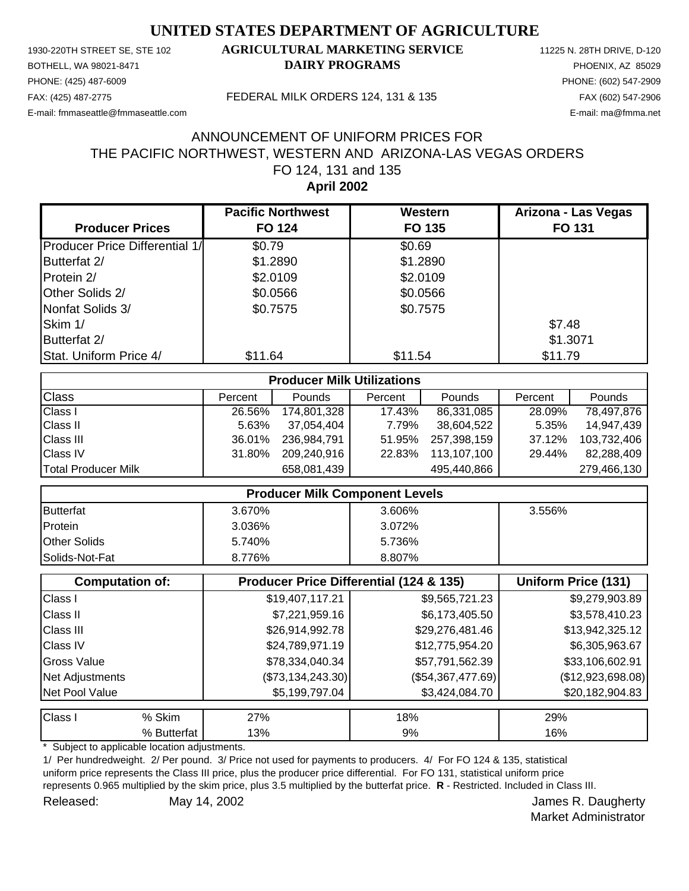PHONE: (425) 487-6009 PHONE: (602) 547-2909 E-mail: fmmaseattle@fmmaseattle.com E-mail: ma@fmma.net

## 1930-220TH STREET SE, STE 102 **AGRICULTURAL MARKETING SERVICE** 11225 N. 28TH DRIVE, D-120 BOTHELL, WA 98021-8471 **DAIRY PROGRAMS** PHOENIX, AZ 85029

#### FAX: (425) 487-2775 FEDERAL MILK ORDERS 124, 131 & 135 FAX (602) 547-2906

## **April 2002** FO 124, 131 and 135 THE PACIFIC NORTHWEST, WESTERN AND ARIZONA-LAS VEGAS ORDERS ANNOUNCEMENT OF UNIFORM PRICES FOR

|                                       | <b>Pacific Northwest</b> | Western  | Arizona - Las Vegas |
|---------------------------------------|--------------------------|----------|---------------------|
| <b>Producer Prices</b>                | <b>FO 124</b>            | FO 135   | FO 131              |
| <b>Producer Price Differential 1/</b> | \$0.79                   | \$0.69   |                     |
| Butterfat 2/                          | \$1.2890                 | \$1.2890 |                     |
| Protein 2/                            | \$2.0109                 | \$2.0109 |                     |
| Other Solids 2/                       | \$0.0566                 | \$0.0566 |                     |
| Nonfat Solids 3/                      | \$0.7575                 | \$0.7575 |                     |
| Skim 1/                               |                          |          | \$7.48              |
| Butterfat 2/                          |                          |          | \$1.3071            |
| Stat. Uniform Price 4/                | \$11.64                  | \$11.54  | \$11.79             |

| <b>Producer Milk Utilizations</b> |         |             |         |             |         |               |
|-----------------------------------|---------|-------------|---------|-------------|---------|---------------|
| <b>Class</b>                      | Percent | Pounds      | Percent | Pounds      | Percent | <b>Pounds</b> |
| <b>Class I</b>                    | 26.56%  | 174,801,328 | 17.43%  | 86,331,085  | 28.09%  | 78,497,876    |
| <b>Class II</b>                   | 5.63%   | 37,054,404  | 7.79%   | 38,604,522  | 5.35%   | 14,947,439    |
| <b>Class III</b>                  | 36.01%  | 236,984,791 | 51.95%  | 257,398,159 | 37.12%  | 103,732,406   |
| <b>Class IV</b>                   | 31.80%  | 209,240,916 | 22.83%  | 113,107,100 | 29.44%  | 82.288.409    |
| <b>Total Producer Milk</b>        |         | 658,081,439 |         | 495,440,866 |         | 279,466,130   |

| <b>Producer Milk Component Levels</b> |        |        |        |  |
|---------------------------------------|--------|--------|--------|--|
| <b>Butterfat</b>                      | 3.670% | 3.606% | 3.556% |  |
| Protein                               | 3.036% | 3.072% |        |  |
| <b>Other Solids</b>                   | 5.740% | 5.736% |        |  |
| Solids-Not-Fat                        | 8.776% | 8.807% |        |  |

|                    | <b>Computation of:</b> | <b>Producer Price Differential (124 &amp; 135)</b> | <b>Uniform Price (131)</b> |                   |
|--------------------|------------------------|----------------------------------------------------|----------------------------|-------------------|
| Class I            |                        | \$19,407,117.21                                    | \$9,565,721.23             | \$9,279,903.89    |
| <b>Class II</b>    |                        | \$7,221,959.16                                     | \$6,173,405.50             | \$3,578,410.23    |
| <b>Class III</b>   |                        | \$26,914,992.78                                    | \$29,276,481.46            | \$13,942,325.12   |
| <b>Class IV</b>    |                        | \$24,789,971.19                                    | \$12,775,954.20            | \$6,305,963.67    |
| <b>Gross Value</b> |                        | \$78,334,040.34                                    | \$57,791,562.39            | \$33,106,602.91   |
| Net Adjustments    |                        | (\$73,134,243.30)                                  | (\$54,367,477.69)          | (\$12,923,698.08) |
| Net Pool Value     |                        | \$5,199,797.04                                     | \$3,424,084.70             | \$20,182,904.83   |
| Class I            | % Skim                 | 27%                                                | 18%                        | 29%               |
|                    | % Butterfat            | 13%                                                | 9%                         | 16%               |

Subject to applicable location adjustments.

1/ Per hundredweight. 2/ Per pound. 3/ Price not used for payments to producers. 4/ For FO 124 & 135, statistical uniform price represents the Class III price, plus the producer price differential. For FO 131, statistical uniform price represents 0.965 multiplied by the skim price, plus 3.5 multiplied by the butterfat price. **R** - Restricted. Included in Class III. Released: May 14, 2002 **Accord Participate 1 Accord Participate 1** Accord Participate 1 Accord Participate 1 Accord Participate 1 Accord Participate 1 Accord Participate 1 Accord Participate 1 Accord Participate 1 Accord P May 14, 2002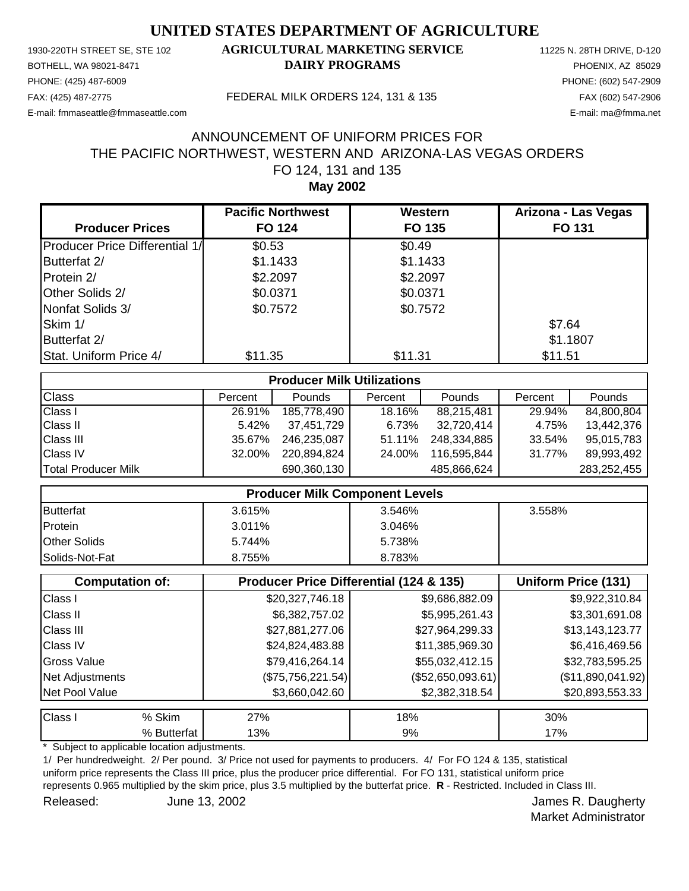PHONE: (425) 487-6009 PHONE: (602) 547-2909 E-mail: fmmaseattle@fmmaseattle.com E-mail: ma@fmma.net

## 1930-220TH STREET SE, STE 102 **AGRICULTURAL MARKETING SERVICE** 11225 N. 28TH DRIVE, D-120 BOTHELL, WA 98021-8471 **DAIRY PROGRAMS** PHOENIX, AZ 85029

#### FAX: (425) 487-2775 FEDERAL MILK ORDERS 124, 131 & 135 FAX (602) 547-2906

## **May 2002** FO 124, 131 and 135 THE PACIFIC NORTHWEST, WESTERN AND ARIZONA-LAS VEGAS ORDERS ANNOUNCEMENT OF UNIFORM PRICES FOR

|                                       | <b>Pacific Northwest</b> | Western  | Arizona - Las Vegas |
|---------------------------------------|--------------------------|----------|---------------------|
| <b>Producer Prices</b>                | <b>FO 124</b>            | FO 135   | <b>FO 131</b>       |
| <b>Producer Price Differential 1/</b> | \$0.53                   | \$0.49   |                     |
| Butterfat 2/                          | \$1.1433                 | \$1.1433 |                     |
| Protein 2/                            | \$2.2097                 | \$2.2097 |                     |
| Other Solids 2/                       | \$0.0371                 | \$0.0371 |                     |
| Nonfat Solids 3/                      | \$0.7572                 | \$0.7572 |                     |
| Skim 1/                               |                          |          | \$7.64              |
| Butterfat 2/                          |                          |          | \$1.1807            |
| Stat. Uniform Price 4/                | \$11.35                  | \$11.31  | \$11.51             |

| <b>Producer Milk Utilizations</b> |         |               |         |             |         |               |
|-----------------------------------|---------|---------------|---------|-------------|---------|---------------|
| <b>Class</b>                      | Percent | <b>Pounds</b> | Percent | Pounds      | Percent | <b>Pounds</b> |
| <b>Class I</b>                    | 26.91%  | 185,778,490   | 18.16%  | 88,215,481  | 29.94%  | 84,800,804    |
| <b>Class II</b>                   | 5.42%   | 37,451,729    | 6.73%   | 32,720,414  | 4.75%   | 13,442,376    |
| <b>Class III</b>                  | 35.67%  | 246.235.087   | 51.11%  | 248,334,885 | 33.54%  | 95,015,783    |
| <b>Class IV</b>                   | 32.00%  | 220,894,824   | 24.00%  | 116,595,844 | 31.77%  | 89.993.492    |
| Total Producer Milk               |         | 690,360,130   |         | 485,866,624 |         | 283,252,455   |

| <b>Producer Milk Component Levels</b> |           |        |        |  |
|---------------------------------------|-----------|--------|--------|--|
| Butterfat                             | 3.615%    | 3.546% | 3.558% |  |
| Protein                               | $3.011\%$ | 3.046% |        |  |
| <b>Other Solids</b>                   | 5.744%    | 5.738% |        |  |
| <b>Solids-Not-Fat</b>                 | 8.755%    | 8.783% |        |  |

|                  | <b>Computation of:</b> | Producer Price Differential (124 & 135) | Uniform Price (131) |                   |
|------------------|------------------------|-----------------------------------------|---------------------|-------------------|
| Class I          |                        | \$20,327,746.18                         | \$9,686,882.09      | \$9,922,310.84    |
| <b>Class II</b>  |                        | \$6,382,757.02                          | \$5,995,261.43      | \$3,301,691.08    |
| <b>Class III</b> |                        | \$27,881,277.06                         | \$27,964,299.33     | \$13,143,123.77   |
| <b>Class IV</b>  |                        | \$24,824,483.88                         | \$11,385,969.30     | \$6,416,469.56    |
| Gross Value      |                        | \$79,416,264.14                         | \$55,032,412.15     | \$32,783,595.25   |
| Net Adjustments  |                        | (\$75,756,221.54)                       | $(\$52,650,093.61)$ | (\$11,890,041.92) |
| Net Pool Value   |                        | \$3,660,042.60                          | \$2,382,318.54      | \$20,893,553.33   |
| <b>Class I</b>   | % Skim                 | 27%                                     | 18%                 | 30%               |
|                  | % Butterfat            | 13%                                     | 9%                  | 17%               |

Subject to applicable location adjustments.

1/ Per hundredweight. 2/ Per pound. 3/ Price not used for payments to producers. 4/ For FO 124 & 135, statistical uniform price represents the Class III price, plus the producer price differential. For FO 131, statistical uniform price represents 0.965 multiplied by the skim price, plus 3.5 multiplied by the butterfat price. **R** - Restricted. Included in Class III. Released: June 13, 2002 **Southern Engine Executes** Seleased: James R. Daugherty June 13, 2002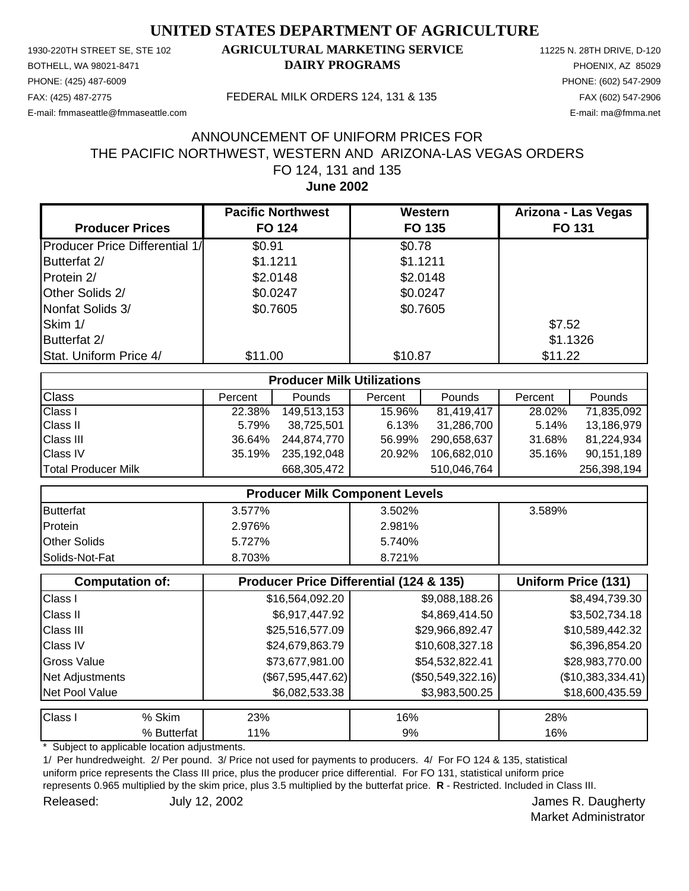PHONE: (425) 487-6009 PHONE: (602) 547-2909 E-mail: fmmaseattle@fmmaseattle.com E-mail: ma@fmma.net

## 1930-220TH STREET SE, STE 102 **AGRICULTURAL MARKETING SERVICE** 11225 N. 28TH DRIVE, D-120 BOTHELL, WA 98021-8471 **DAIRY PROGRAMS** PHOENIX, AZ 85029

#### FAX: (425) 487-2775 FEDERAL MILK ORDERS 124, 131 & 135 FAX (602) 547-2906

## **June 2002** FO 124, 131 and 135 THE PACIFIC NORTHWEST, WESTERN AND ARIZONA-LAS VEGAS ORDERS ANNOUNCEMENT OF UNIFORM PRICES FOR

|                                       | <b>Pacific Northwest</b> | Western  | Arizona - Las Vegas |
|---------------------------------------|--------------------------|----------|---------------------|
| <b>Producer Prices</b>                | <b>FO 124</b>            | FO 135   | <b>FO 131</b>       |
| <b>Producer Price Differential 1/</b> | \$0.91                   | \$0.78   |                     |
| Butterfat 2/                          | \$1.1211                 | \$1.1211 |                     |
| Protein 2/                            | \$2.0148                 | \$2.0148 |                     |
| Other Solids 2/                       | \$0.0247                 | \$0.0247 |                     |
| Nonfat Solids 3/                      | \$0.7605                 | \$0.7605 |                     |
| Skim 1/                               |                          |          | \$7.52              |
| Butterfat 2/                          |                          |          | \$1.1326            |
| Stat. Uniform Price 4/                | \$11.00                  | \$10.87  | \$11.22             |

| <b>Producer Milk Utilizations</b> |         |             |         |             |         |               |
|-----------------------------------|---------|-------------|---------|-------------|---------|---------------|
| <b>Class</b>                      | Percent | Pounds      | Percent | Pounds      | Percent | <b>Pounds</b> |
| <b>Class I</b>                    | 22.38%  | 149,513,153 | 15.96%  | 81,419,417  | 28.02%  | 71,835,092    |
| <b>Class II</b>                   | 5.79%   | 38,725,501  | 6.13%   | 31,286,700  | 5.14%   | 13,186,979    |
| <b>Class III</b>                  | 36.64%  | 244.874.770 | 56.99%  | 290.658.637 | 31.68%  | 81,224,934    |
| <b>Class IV</b>                   | 35.19%  | 235,192,048 | 20.92%  | 106.682.010 | 35.16%  | 90,151,189    |
| Total Producer Milk               |         | 668,305,472 |         | 510,046,764 |         | 256,398,194   |

| <b>Producer Milk Component Levels</b> |        |        |        |  |
|---------------------------------------|--------|--------|--------|--|
| <b>Butterfat</b>                      | 3.577% | 3.502% | 3.589% |  |
| Protein                               | 2.976% | 2.981% |        |  |
| <b>Other Solids</b>                   | 5.727% | 5.740% |        |  |
| Solids-Not-Fat                        | 8.703% | 8.721% |        |  |

|                  | <b>Computation of:</b> | Producer Price Differential (124 & 135) | Uniform Price (131) |                   |
|------------------|------------------------|-----------------------------------------|---------------------|-------------------|
| Class I          |                        | \$16,564,092.20                         | \$9,088,188.26      | \$8,494,739.30    |
| <b>Class II</b>  |                        | \$6,917,447.92                          | \$4,869,414.50      | \$3,502,734.18    |
| <b>Class III</b> |                        | \$25,516,577.09                         | \$29,966,892.47     | \$10,589,442.32   |
| <b>Class IV</b>  |                        | \$24,679,863.79                         | \$10,608,327.18     | \$6,396,854.20    |
| Gross Value      |                        | \$73,677,981.00                         | \$54,532,822.41     | \$28,983,770.00   |
| Net Adjustments  |                        | (\$67,595,447.62)                       | $(\$50,549,322.16)$ | (\$10,383,334.41) |
| Net Pool Value   |                        | \$6,082,533.38                          | \$3,983,500.25      | \$18,600,435.59   |
| <b>Class I</b>   | % Skim                 | 23%                                     | 16%                 | 28%               |
|                  | % Butterfat            | 11%                                     | 9%                  | 16%               |

Subject to applicable location adjustments.

1/ Per hundredweight. 2/ Per pound. 3/ Price not used for payments to producers. 4/ For FO 124 & 135, statistical uniform price represents the Class III price, plus the producer price differential. For FO 131, statistical uniform price represents 0.965 multiplied by the skim price, plus 3.5 multiplied by the butterfat price. **R** - Restricted. Included in Class III. Released: July 12, 2002 **Released:** July 12, 2002 July 12, 2002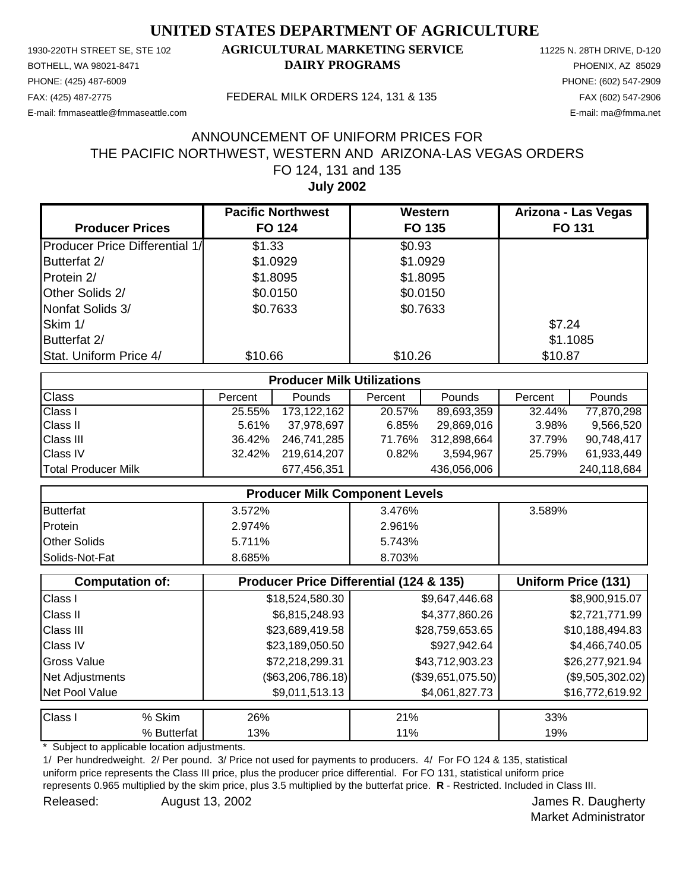PHONE: (425) 487-6009 PHONE: (602) 547-2909 E-mail: fmmaseattle@fmmaseattle.com E-mail: ma@fmma.net

## 1930-220TH STREET SE, STE 102 **AGRICULTURAL MARKETING SERVICE** 11225 N. 28TH DRIVE, D-120 BOTHELL, WA 98021-8471 **DAIRY PROGRAMS** PHOENIX, AZ 85029

#### FAX: (425) 487-2775 FEDERAL MILK ORDERS 124, 131 & 135 FAX (602) 547-2906

## **July 2002** FO 124, 131 and 135 THE PACIFIC NORTHWEST, WESTERN AND ARIZONA-LAS VEGAS ORDERS ANNOUNCEMENT OF UNIFORM PRICES FOR

|                                       | <b>Pacific Northwest</b> | Western  | Arizona - Las Vegas |
|---------------------------------------|--------------------------|----------|---------------------|
| <b>Producer Prices</b>                | <b>FO 124</b>            | FO 135   | <b>FO 131</b>       |
| <b>Producer Price Differential 1/</b> | \$1.33                   | \$0.93   |                     |
| Butterfat 2/                          | \$1.0929                 | \$1.0929 |                     |
| Protein 2/                            | \$1.8095                 | \$1.8095 |                     |
| Other Solids 2/                       | \$0.0150                 | \$0.0150 |                     |
| Nonfat Solids 3/                      | \$0.7633                 | \$0.7633 |                     |
| Skim 1/                               |                          |          | \$7.24              |
| Butterfat 2/                          |                          |          | \$1.1085            |
| Stat. Uniform Price 4/                | \$10.66                  | \$10.26  | \$10.87             |

| <b>Producer Milk Utilizations</b> |         |               |         |             |         |             |
|-----------------------------------|---------|---------------|---------|-------------|---------|-------------|
| <b>Class</b>                      | Percent | <b>Pounds</b> | Percent | Pounds      | Percent | Pounds      |
| <b>Class I</b>                    | 25.55%  | 173,122,162   | 20.57%  | 89,693,359  | 32.44%  | 77,870,298  |
| <b>Class II</b>                   | 5.61%   | 37,978,697    | 6.85%   | 29,869,016  | 3.98%   | 9,566,520   |
| <b>Class III</b>                  | 36.42%  | 246,741,285   | 71.76%  | 312,898,664 | 37.79%  | 90,748,417  |
| <b>Class IV</b>                   | 32.42%  | 219.614.207   | 0.82%   | 3,594,967   | 25.79%  | 61,933,449  |
| <b>Total Producer Milk</b>        |         | 677,456,351   |         | 436,056,006 |         | 240,118,684 |

| <b>Producer Milk Component Levels</b> |        |        |        |
|---------------------------------------|--------|--------|--------|
| <b>Butterfat</b>                      | 3.572% | 3.476% | 3.589% |
| Protein                               | 2.974% | 2.961% |        |
| <b>Other Solids</b>                   | 5.711% | 5.743% |        |
| <b>Solids-Not-Fat</b>                 | 8.685% | 8.703% |        |

|                    | <b>Computation of:</b> | Producer Price Differential (124 & 135) | Uniform Price (131) |                    |
|--------------------|------------------------|-----------------------------------------|---------------------|--------------------|
| Class I            |                        | \$18,524,580.30                         | \$9,647,446.68      | \$8,900,915.07     |
| <b>Class II</b>    |                        | \$6,815,248.93                          | \$4,377,860.26      | \$2,721,771.99     |
| <b>Class III</b>   |                        | \$23,689,419.58                         | \$28,759,653.65     | \$10,188,494.83    |
| <b>Class IV</b>    |                        | \$23,189,050.50                         | \$927,942.64        | \$4,466,740.05     |
| <b>Gross Value</b> |                        | \$72,218,299.31                         | \$43,712,903.23     | \$26,277,921.94    |
| Net Adjustments    |                        | $(\$63,206,786.18)$                     | $(\$39,651,075.50)$ | $(\$9,505,302.02)$ |
| Net Pool Value     |                        | \$9,011,513.13                          | \$4,061,827.73      | \$16,772,619.92    |
| <b>Class I</b>     | % Skim                 | 26%                                     | 21%                 | 33%                |
|                    | % Butterfat            | 13%                                     | 11%                 | 19%                |

Subject to applicable location adjustments.

1/ Per hundredweight. 2/ Per pound. 3/ Price not used for payments to producers. 4/ For FO 124 & 135, statistical uniform price represents the Class III price, plus the producer price differential. For FO 131, statistical uniform price represents 0.965 multiplied by the skim price, plus 3.5 multiplied by the butterfat price. **R** - Restricted. Included in Class III. Released: August 13, 2002 **August 13, 2002** Service State State State State State State State State State State State State State State State State State State State State State State State State State State State State St

Market Administrator

August 13, 2002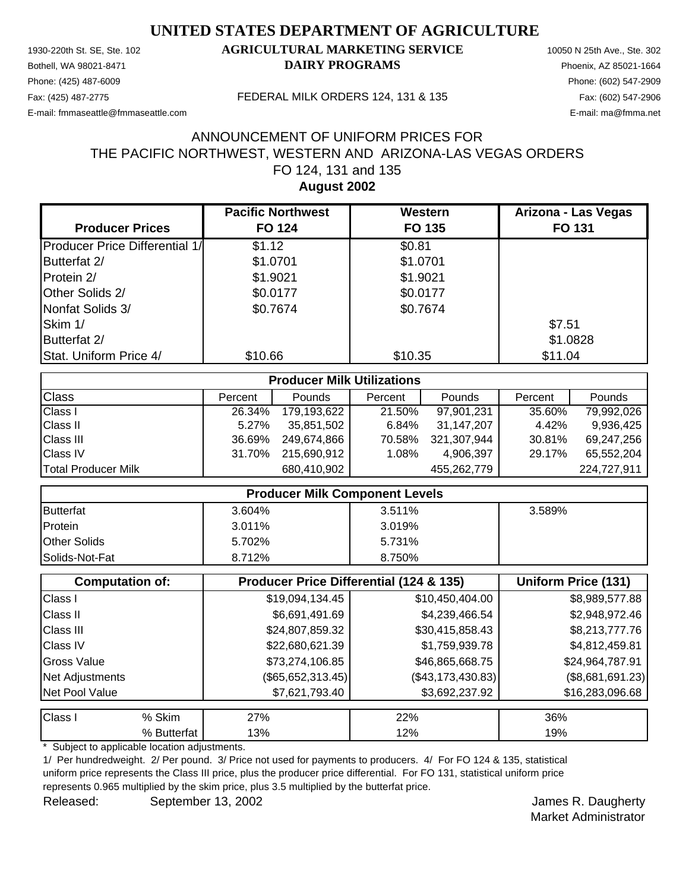Phone: (425) 487-6009 Phone: (602) 547-2909 E-mail: fmmaseattle@fmmaseattle.com E-mail: ma@fmma.net

# 1930-220th St. SE, Ste. 102 **AGRICULTURAL MARKETING SERVICE** 10050 N 25th Ave., Ste. 302 Bothell, WA 98021-8471 **DAIRY PROGRAMS** Phoenix, AZ 85021-1664

Fax: (425) 487-2775 FEDERAL MILK ORDERS 124, 131 & 135 Fax: (602) 547-2906

# **August 2002** FO 124, 131 and 135 THE PACIFIC NORTHWEST, WESTERN AND ARIZONA-LAS VEGAS ORDERS ANNOUNCEMENT OF UNIFORM PRICES FOR

|                                       | <b>Pacific Northwest</b> | Western  | Arizona - Las Vegas |
|---------------------------------------|--------------------------|----------|---------------------|
| <b>Producer Prices</b>                | <b>FO 124</b>            | FO 135   | <b>FO 131</b>       |
| <b>Producer Price Differential 1/</b> | \$1.12                   | \$0.81   |                     |
| Butterfat 2/                          | \$1.0701                 | \$1.0701 |                     |
| Protein 2/                            | \$1.9021                 | \$1.9021 |                     |
| Other Solids 2/                       | \$0.0177                 | \$0.0177 |                     |
| Nonfat Solids 3/                      | \$0.7674                 | \$0.7674 |                     |
| Skim 1/                               |                          |          | \$7.51              |
| Butterfat 2/                          |                          |          | \$1.0828            |
| Stat. Uniform Price 4/                | \$10.66                  | \$10.35  | \$11.04             |

| <b>Producer Milk Utilizations</b> |         |               |         |             |         |               |
|-----------------------------------|---------|---------------|---------|-------------|---------|---------------|
| <b>Class</b>                      | Percent | <b>Pounds</b> | Percent | Pounds      | Percent | <b>Pounds</b> |
| <b>Class I</b>                    | 26.34%  | 179,193,622   | 21.50%  | 97,901,231  | 35.60%  | 79,992,026    |
| <b>Class II</b>                   | 5.27%   | 35,851,502    | 6.84%   | 31,147,207  | 4.42%   | 9.936.425     |
| <b>Class III</b>                  | 36.69%  | 249.674.866   | 70.58%  | 321,307,944 | 30.81%  | 69,247,256    |
| <b>Class IV</b>                   | 31.70%  | 215,690,912   | 1.08%   | 4,906,397   | 29.17%  | 65,552,204    |
| Total Producer Milk               |         | 680,410,902   |         | 455,262,779 |         | 224,727,911   |

|                     | <b>Producer Milk Component Levels</b> |        |        |
|---------------------|---------------------------------------|--------|--------|
| <b>Butterfat</b>    | 3.604%                                | 3.511% | 3.589% |
| Protein             | $3.011\%$                             | 3.019% |        |
| <b>Other Solids</b> | 5.702%                                | 5.731% |        |
| Solids-Not-Fat      | 8.712%                                | 8.750% |        |

|                  | <b>Computation of:</b> |                     | <b>Producer Price Differential (124 &amp; 135)</b> |                    |  |
|------------------|------------------------|---------------------|----------------------------------------------------|--------------------|--|
| Class I          |                        | \$19,094,134.45     | \$10,450,404.00                                    | \$8,989,577.88     |  |
| <b>Class II</b>  |                        | \$6,691,491.69      | \$4,239,466.54                                     | \$2,948,972.46     |  |
| <b>Class III</b> |                        | \$24,807,859.32     | \$30,415,858.43                                    | \$8,213,777.76     |  |
| <b>Class IV</b>  |                        | \$22,680,621.39     | \$1,759,939.78                                     | \$4,812,459.81     |  |
| Gross Value      |                        | \$73,274,106.85     | \$46,865,668.75                                    | \$24,964,787.91    |  |
| Net Adjustments  |                        | $(\$65,652,313.45)$ | $(\$43,173,430.83)$                                | $(\$8,681,691.23)$ |  |
| Net Pool Value   |                        | \$7,621,793.40      | \$3,692,237.92                                     | \$16,283,096.68    |  |
| <b>Class I</b>   | % Skim                 | 27%                 | 22%                                                | 36%                |  |
|                  | % Butterfat            | 13%                 | 12%                                                | 19%                |  |

Subject to applicable location adjustments.

1/ Per hundredweight. 2/ Per pound. 3/ Price not used for payments to producers. 4/ For FO 124 & 135, statistical uniform price represents the Class III price, plus the producer price differential. For FO 131, statistical uniform price represents 0.965 multiplied by the skim price, plus 3.5 multiplied by the butterfat price.

Released: September 13, 2002 **September 13, 2002** and September 13, 2002 and September 2011 and September 2012 and September 2012 and September 2012 and September 2012 and September 2012 and September 2013 and September 20 September 13, 2002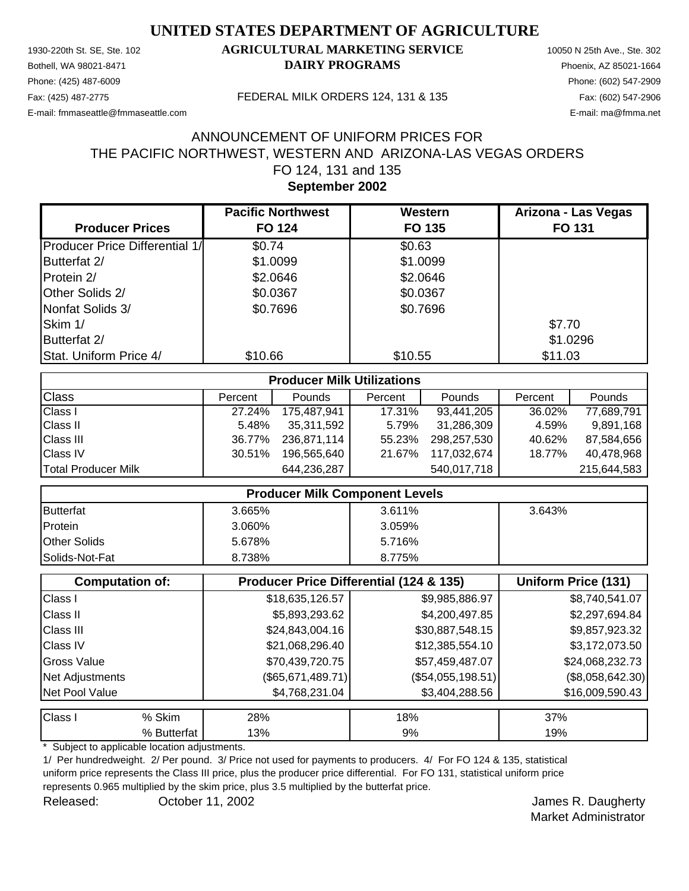Phone: (425) 487-6009 Phone: (602) 547-2909 E-mail: fmmaseattle@fmmaseattle.com E-mail: ma@fmma.net

# 1930-220th St. SE, Ste. 102 **AGRICULTURAL MARKETING SERVICE** 10050 N 25th Ave., Ste. 302 Bothell, WA 98021-8471 **DAIRY PROGRAMS** Phoenix, AZ 85021-1664

Fax: (425) 487-2775 FEDERAL MILK ORDERS 124, 131 & 135 Fax: (602) 547-2906

## **September 2002** FO 124, 131 and 135 THE PACIFIC NORTHWEST, WESTERN AND ARIZONA-LAS VEGAS ORDERS ANNOUNCEMENT OF UNIFORM PRICES FOR

|                                       | <b>Pacific Northwest</b> | Western  | Arizona - Las Vegas |
|---------------------------------------|--------------------------|----------|---------------------|
| <b>Producer Prices</b>                | <b>FO 124</b>            | FO 135   | <b>FO 131</b>       |
| <b>Producer Price Differential 1/</b> | \$0.74                   | \$0.63   |                     |
| Butterfat 2/                          | \$1.0099                 | \$1.0099 |                     |
| Protein 2/                            | \$2.0646                 | \$2.0646 |                     |
| Other Solids 2/                       | \$0.0367                 | \$0.0367 |                     |
| Nonfat Solids 3/                      | \$0.7696                 | \$0.7696 |                     |
| Skim 1/                               |                          |          | \$7.70              |
| Butterfat 2/                          |                          |          | \$1.0296            |
| Stat. Uniform Price 4/                | \$10.66                  | \$10.55  | \$11.03             |

| <b>Producer Milk Utilizations</b> |         |             |         |             |         |               |
|-----------------------------------|---------|-------------|---------|-------------|---------|---------------|
| <b>Class</b>                      | Percent | Pounds      | Percent | Pounds      | Percent | <b>Pounds</b> |
| <b>Class I</b>                    | 27.24%  | 175,487,941 | 17.31%  | 93,441,205  | 36.02%  | 77,689,791    |
| <b>Class II</b>                   | 5.48%   | 35.311.592  | 5.79%   | 31,286,309  | 4.59%   | 9,891,168     |
| <b>Class III</b>                  | 36.77%  | 236.871.114 | 55.23%  | 298,257,530 | 40.62%  | 87,584,656    |
| <b>Class IV</b>                   | 30.51%  | 196.565.640 | 21.67%  | 117,032,674 | 18.77%  | 40.478.968    |
| Total Producer Milk               |         | 644,236,287 |         | 540,017,718 |         | 215,644,583   |

| <b>Producer Milk Component Levels</b> |        |        |        |
|---------------------------------------|--------|--------|--------|
| <b>Butterfat</b>                      | 3.665% | 3.611% | 3.643% |
| Protein                               | 3.060% | 3.059% |        |
| <b>Other Solids</b>                   | 5.678% | 5.716% |        |
| Solids-Not-Fat                        | 8.738% | 8.775% |        |

|                    | <b>Computation of:</b> | <b>Producer Price Differential (124 &amp; 135)</b> | Uniform Price (131) |                    |
|--------------------|------------------------|----------------------------------------------------|---------------------|--------------------|
| Class I            |                        | \$18,635,126.57                                    | \$9,985,886.97      | \$8,740,541.07     |
| <b>Class II</b>    |                        | \$5,893,293.62                                     | \$4,200,497.85      | \$2,297,694.84     |
| <b>Class III</b>   |                        | \$24,843,004.16                                    | \$30,887,548.15     | \$9,857,923.32     |
| <b>Class IV</b>    |                        | \$21,068,296.40                                    | \$12,385,554.10     | \$3,172,073.50     |
| <b>Gross Value</b> |                        | \$70,439,720.75                                    | \$57,459,487.07     | \$24,068,232.73    |
| Net Adjustments    |                        | (\$65,671,489.71)                                  | (\$54,055,198.51)   | $(\$8,058,642.30)$ |
| Net Pool Value     |                        | \$4,768,231.04                                     | \$3,404,288.56      | \$16,009,590.43    |
| Class I            | % Skim                 | 28%                                                | 18%                 | 37%                |
|                    | % Butterfat            | 13%                                                | 9%                  | 19%                |

Subject to applicable location adjustments.

1/ Per hundredweight. 2/ Per pound. 3/ Price not used for payments to producers. 4/ For FO 124 & 135, statistical uniform price represents the Class III price, plus the producer price differential. For FO 131, statistical uniform price represents 0.965 multiplied by the skim price, plus 3.5 multiplied by the butterfat price.

Released: Corober 11, 2002 **Contained Building and Science Automobile** Selection Contains a Lames R. Daugherty October 11, 2002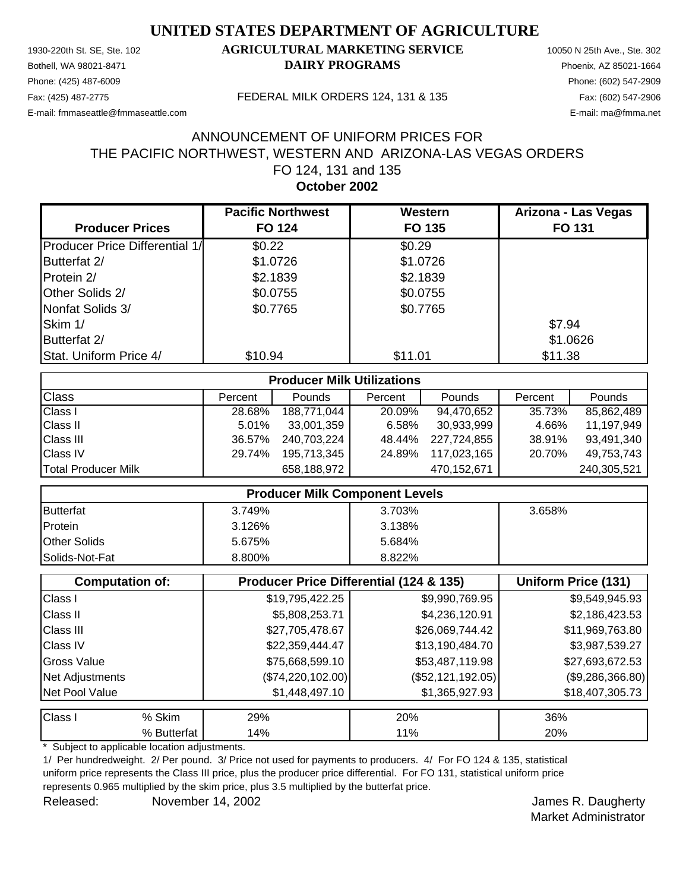Phone: (425) 487-6009 Phone: (602) 547-2909 E-mail: fmmaseattle@fmmaseattle.com E-mail: ma@fmma.net

# 1930-220th St. SE, Ste. 102 **AGRICULTURAL MARKETING SERVICE** 10050 N 25th Ave., Ste. 302 Bothell, WA 98021-8471 **DAIRY PROGRAMS** Phoenix, AZ 85021-1664

Fax: (425) 487-2775 FEDERAL MILK ORDERS 124, 131 & 135 Fax: (602) 547-2906

## **October 2002** FO 124, 131 and 135 THE PACIFIC NORTHWEST, WESTERN AND ARIZONA-LAS VEGAS ORDERS ANNOUNCEMENT OF UNIFORM PRICES FOR

|                                       | <b>Pacific Northwest</b> | Western  | Arizona - Las Vegas |
|---------------------------------------|--------------------------|----------|---------------------|
| <b>Producer Prices</b>                | <b>FO 124</b>            | FO 135   | <b>FO 131</b>       |
| <b>Producer Price Differential 1/</b> | \$0.22                   | \$0.29   |                     |
| Butterfat 2/                          | \$1.0726                 | \$1.0726 |                     |
| Protein 2/                            | \$2.1839                 | \$2.1839 |                     |
| Other Solids 2/                       | \$0.0755                 | \$0.0755 |                     |
| Nonfat Solids 3/                      | \$0.7765                 | \$0.7765 |                     |
| Skim 1/                               |                          |          | \$7.94              |
| Butterfat 2/                          |                          |          | \$1.0626            |
| Stat. Uniform Price 4/                | \$10.94                  | \$11.01  | \$11.38             |

| <b>Producer Milk Utilizations</b> |         |               |         |             |         |             |
|-----------------------------------|---------|---------------|---------|-------------|---------|-------------|
| <b>Class</b>                      | Percent | <b>Pounds</b> | Percent | Pounds      | Percent | Pounds      |
| <b>Class I</b>                    | 28.68%  | 188,771,044   | 20.09%  | 94,470,652  | 35.73%  | 85,862,489  |
| <b>Class II</b>                   | 5.01%   | 33,001,359    | 6.58%   | 30,933,999  | 4.66%   | 11,197,949  |
| <b>Class III</b>                  | 36.57%  | 240,703,224   | 48.44%  | 227,724,855 | 38.91%  | 93,491,340  |
| <b>Class IV</b>                   | 29.74%  | 195,713,345   | 24.89%  | 117,023,165 | 20.70%  | 49,753,743  |
| Total Producer Milk               |         | 658,188,972   |         | 470,152,671 |         | 240,305,521 |

| <b>Producer Milk Component Levels</b> |        |        |        |  |
|---------------------------------------|--------|--------|--------|--|
| <b>Butterfat</b>                      | 3.749% | 3.703% | 3.658% |  |
| Protein                               | 3.126% | 3.138% |        |  |
| <b>Other Solids</b>                   | 5.675% | 5.684% |        |  |
| Solids-Not-Fat                        | 8.800% | 8.822% |        |  |

|                    | <b>Computation of:</b> | <b>Producer Price Differential (124 &amp; 135)</b> | <b>Uniform Price (131)</b> |                    |
|--------------------|------------------------|----------------------------------------------------|----------------------------|--------------------|
| Class I            |                        | \$19,795,422.25                                    | \$9,990,769.95             | \$9,549,945.93     |
| <b>Class II</b>    |                        | \$5,808,253.71                                     | \$4,236,120.91             | \$2,186,423.53     |
| <b>Class III</b>   |                        | \$27,705,478.67                                    | \$26,069,744.42            | \$11,969,763.80    |
| <b>Class IV</b>    |                        | \$22,359,444.47                                    | \$13,190,484.70            | \$3,987,539.27     |
| <b>Gross Value</b> |                        | \$75,668,599.10                                    | \$53,487,119.98            | \$27,693,672.53    |
| Net Adjustments    |                        | (\$74,220,102.00)                                  | $(\$52,121,192.05)$        | $(\$9,286,366.80)$ |
| Net Pool Value     |                        | \$1,448,497.10                                     | \$1,365,927.93             |                    |
| Class I            | % Skim                 | 29%                                                | 20%                        | 36%                |

% Butterfat | 14% 20% 28 11% 28 11% 20%

Subject to applicable location adjustments.

1/ Per hundredweight. 2/ Per pound. 3/ Price not used for payments to producers. 4/ For FO 124 & 135, statistical uniform price represents the Class III price, plus the producer price differential. For FO 131, statistical uniform price represents 0.965 multiplied by the skim price, plus 3.5 multiplied by the butterfat price.

Released: November 14, 2002 **Contract Contract Contract Contract Contract Contract Contract Contract Contract Contract Contract Contract Contract Contract Contract Contract Contract Contract Contract Contract Contract Cont** November 14, 2002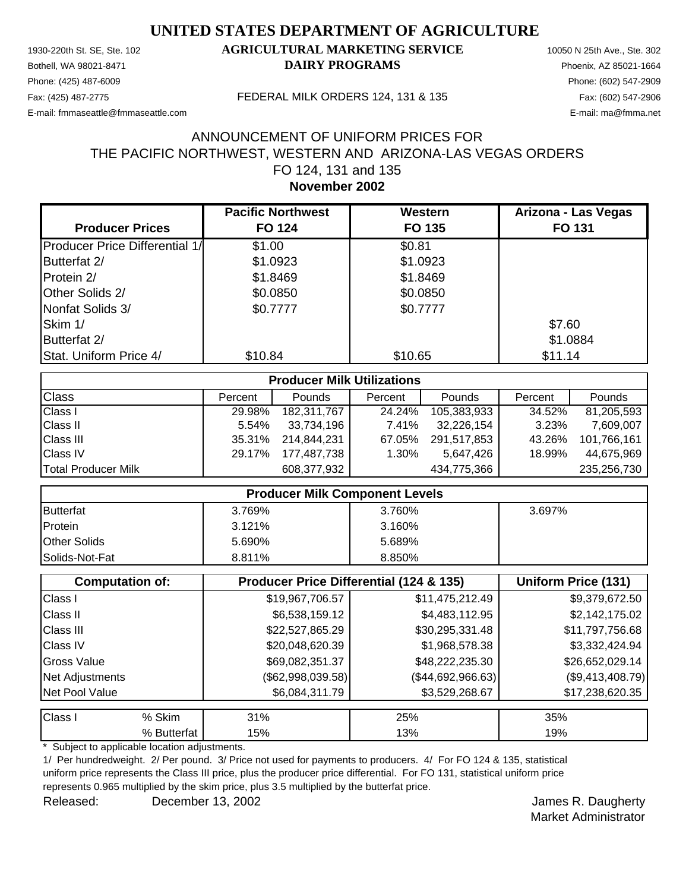Phone: (425) 487-6009 Phone: (602) 547-2909 E-mail: fmmaseattle@fmmaseattle.com E-mail: ma@fmma.net

# 1930-220th St. SE, Ste. 102 **AGRICULTURAL MARKETING SERVICE** 10050 N 25th Ave., Ste. 302 Bothell, WA 98021-8471 **DAIRY PROGRAMS** Phoenix, AZ 85021-1664

Fax: (425) 487-2775 FEDERAL MILK ORDERS 124, 131 & 135 Fax: (602) 547-2906

### **November 2002** FO 124, 131 and 135 THE PACIFIC NORTHWEST, WESTERN AND ARIZONA-LAS VEGAS ORDERS ANNOUNCEMENT OF UNIFORM PRICES FOR

|                                        | <b>Pacific Northwest</b> | Western  | Arizona - Las Vegas |
|----------------------------------------|--------------------------|----------|---------------------|
| <b>Producer Prices</b>                 | <b>FO 124</b>            | FO 135   | <b>FO 131</b>       |
| <b>Producer Price Differential 1/1</b> | \$1.00                   | \$0.81   |                     |
| Butterfat 2/                           | \$1.0923                 | \$1.0923 |                     |
| Protein 2/                             | \$1.8469                 | \$1.8469 |                     |
| Other Solids 2/                        | \$0.0850                 | \$0.0850 |                     |
| Nonfat Solids 3/                       | \$0.7777                 | \$0.7777 |                     |
| Skim 1/                                |                          |          | \$7.60              |
| Butterfat 2/                           |                          |          | \$1.0884            |
| Stat. Uniform Price 4/                 | \$10.84                  | \$10.65  | \$11.14             |

| <b>Producer Milk Utilizations</b> |         |             |         |             |         |               |
|-----------------------------------|---------|-------------|---------|-------------|---------|---------------|
| <b>Class</b>                      | Percent | Pounds      | Percent | Pounds      | Percent | <b>Pounds</b> |
| <b>Class I</b>                    | 29.98%  | 182.311.767 | 24.24%  | 105,383,933 | 34.52%  | 81,205,593    |
| <b>Class II</b>                   | 5.54%   | 33,734,196  | 7.41%   | 32,226,154  | 3.23%   | 7.609.007     |
| <b>Class III</b>                  | 35.31%  | 214.844.231 | 67.05%  | 291,517,853 | 43.26%  | 101,766,161   |
| <b>Class IV</b>                   | 29.17%  | 177.487.738 | 1.30%   | 5,647,426   | 18.99%  | 44,675,969    |
| Total Producer Milk               |         | 608,377,932 |         | 434,775,366 |         | 235,256,730   |

| <b>Producer Milk Component Levels</b> |        |        |        |  |
|---------------------------------------|--------|--------|--------|--|
| <b>Butterfat</b>                      | 3.769% | 3.760% | 3.697% |  |
| Protein                               | 3.121% | 3.160% |        |  |
| <b>Other Solids</b>                   | 5.690% | 5.689% |        |  |
| Solids-Not-Fat                        | 8.811% | 8.850% |        |  |

|                  | <b>Computation of:</b> | Producer Price Differential (124 & 135) |                   | <b>Uniform Price (131)</b> |  |
|------------------|------------------------|-----------------------------------------|-------------------|----------------------------|--|
| Class I          |                        | \$19,967,706.57                         | \$11,475,212.49   | \$9,379,672.50             |  |
| <b>Class II</b>  |                        | \$6,538,159.12                          | \$4,483,112.95    | \$2,142,175.02             |  |
| <b>Class III</b> |                        | \$22,527,865.29                         | \$30,295,331.48   | \$11,797,756.68            |  |
| <b>Class IV</b>  |                        | \$20,048,620.39                         | \$1,968,578.38    | \$3,332,424.94             |  |
| Gross Value      |                        | \$69,082,351.37                         | \$48,222,235.30   | \$26,652,029.14            |  |
| Net Adjustments  |                        | $(\$62,998,039.58)$                     | (\$44,692,966.63) | $(\$9,413,408.79)$         |  |
| Net Pool Value   |                        | \$6,084,311.79                          | \$3,529,268.67    | \$17,238,620.35            |  |
| Class I          | % Skim                 | 31%                                     | 25%               | 35%                        |  |
|                  | % Butterfat            | 15%                                     | 13%               | 19%                        |  |

Subject to applicable location adjustments.

1/ Per hundredweight. 2/ Per pound. 3/ Price not used for payments to producers. 4/ For FO 124 & 135, statistical uniform price represents the Class III price, plus the producer price differential. For FO 131, statistical uniform price represents 0.965 multiplied by the skim price, plus 3.5 multiplied by the butterfat price.

Released: Calculate December 13, 2002 **Calculate Street Engineering Control** Control December 13, 2002 December 13, 2002